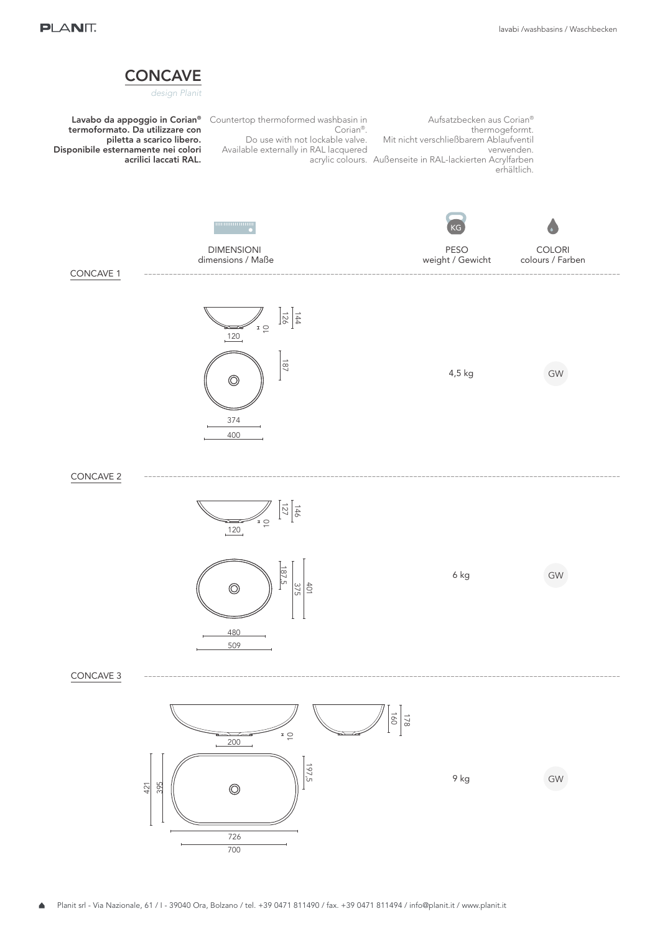